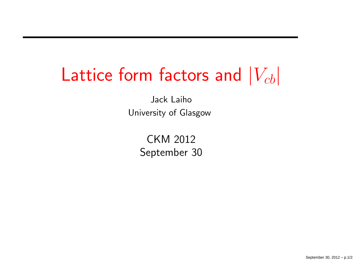# Lattice form factors and  $\vert V_{cb} \vert$

Jack LaihoUniversity of Glasgow

> CKM <sup>2012</sup>September <sup>30</sup>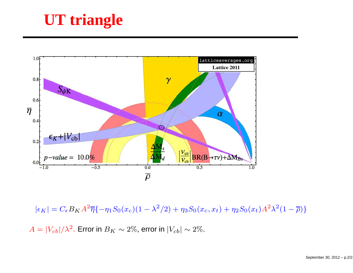## **UT triangle**



 $|\epsilon_K| =$  $C_{\epsilon}B_KA^2\overline{\eta}\{-\eta_1S_0(x_c)(1-\lambda^2/2)+\eta_3S_0(x_c,x_t)+\eta_2S_0(x_t)A^2\lambda^2(1-\overline{\rho})\}$ 

 $A=|V_{cb}|/\lambda^2$ . Error in  $B_K\sim 2\%$ , error in  $|V_{cb}|\sim 2\%$ .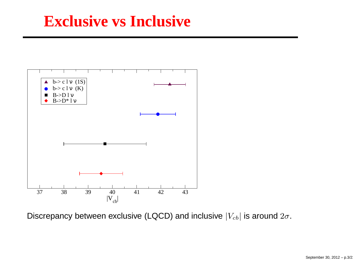#### **Exclusive vs Inclusive**



Discrepancy between exclusive (LQCD) and inclusive  $|V_{cb}|$  is around  $2\sigma.$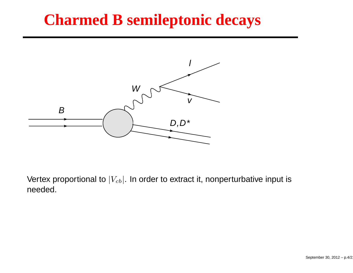#### **Charmed B semileptonic decays**



Vertex proportional to  $\left|V_{cb}\right|$ . In order to extract it, nonperturbative input is needed.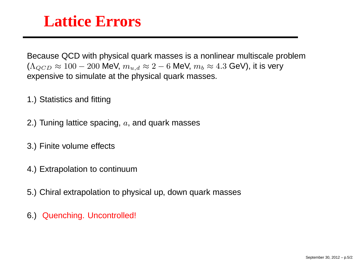#### **Lattice Errors**

Because QCD with physical quark masses is <sup>a</sup> nonlinear multiscale problem $(\Lambda_{QCD} \approx 100-200$  MeV,  $m_{u,d} \approx 2-6$  MeV,  $m_b \approx 4.3$  GeV), it is very expensive to simulate at the physical quark masses.

- 1.) Statistics and fitting
- 2.) Tuning lattice spacing,  $a$ , and quark masses
- 3.) Finite volume effects
- 4.) Extrapolation to continuum
- 5.) Chiral extrapolation to physical up, down quark masses
- 6.) Quenching. Uncontrolled!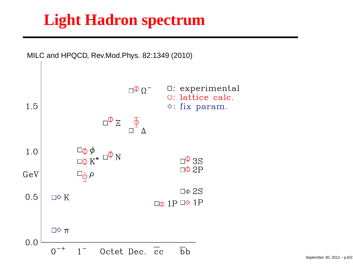### **Light Hadron spectrum**

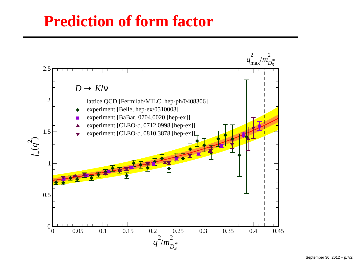#### **Prediction of form factor**

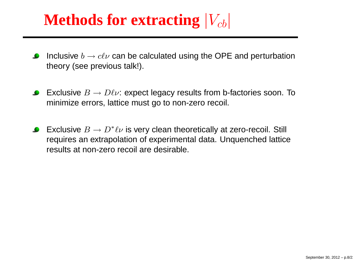## Methods for extracting  $|V_{cb}|$

- Inclusive  $b\to c\ell\nu$  can be calculated using the OPE and perturbation<br>theory (see previous talkl) theory (see previous talk!).
- Exclusive  $B\to D\ell\nu$ : expect legacy results from b-factories soon. To<br>minimize errors. lattice must go to non-zero recoil minimize errors, lattice must go to non-zero recoil.
- Exclusive  $B\to D^*\ell\nu$  is very clean theoretically at zero-recoil. Still requires an extrapolation of experimental data. Unquenched latticeresults at non-zero recoil are desirable.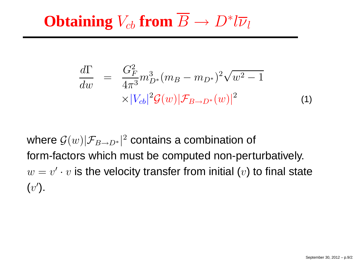# **Obtaining**  $V_{cb}$  from  $B \to D^* l \overline{\nu}_l$

$$
\frac{d\Gamma}{dw} = \frac{G_F^2}{4\pi^3} m_{D^*}^3 (m_B - m_{D^*})^2 \sqrt{w^2 - 1} \times |V_{cb}|^2 \mathcal{G}(w) |\mathcal{F}_{B \to D^*}(w)|^2 \tag{1}
$$

where  ${\cal G}(w)|{\cal F}_{B\rightarrow D^*}|^2$  contains a combination of form-factors which must be computed non-perturbatively.  $w = v' \cdot v$  is the velocity transfer from initial  $(v)$  to final state  $(v')$ .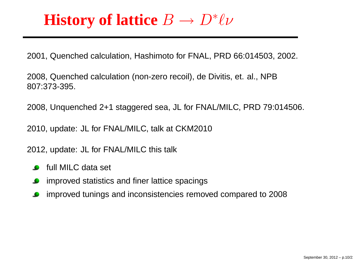#### **History of lattice** <sup>B</sup> $\overrightarrow{D}$  $\rightarrow D^* \ell \nu$

2001, Quenched calculation, Hashimoto for FNAL, PRD 66:014503, 2002.

2008, Quenched calculation (non-zero recoil), de Divitis, et. al., NPB807:373-395.

2008, Unquenched 2+1 staggered sea, JL for FNAL/MILC, PRD 79:014506.

2010, update: JL for FNAL/MILC, talk at CKM2010

2012, update: JL for FNAL/MILC this talk

- full MILC data set
- improved statistics and finer lattice spacings
- improved tunings and inconsistencies removed compared to 2008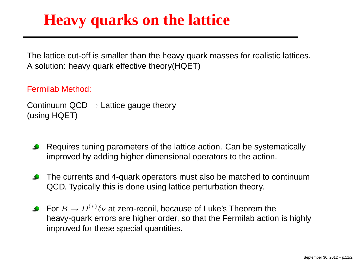#### **Heavy quarks on the lattice**

The lattice cut-off is smaller than the heavy quark masses for realistic lattices. A solution: heavy quark effective theory(HQET)

Fermilab Method:

```
Continuum QCD → Lattice gauge theory<br>(using HOFT)
(using HQET)
```
- Requires tuning parameters of the lattice action. Can be systematicallyimproved by adding higher dimensional operators to the action.
- The currents and 4-quark operators must also be matched to continuumQCD. Typically this is done using lattice perturbation theory.
- For  $B\to D^{(*)}\ell\nu$  at zero-recoil, because of Luke's Theorem the heavy-quark errors are higher order, so that the Fermilab action is highlyimproved for these special quantities.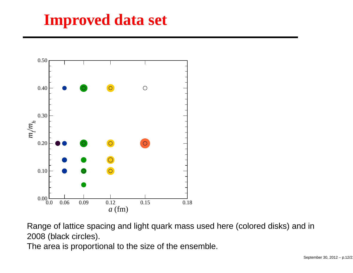### **Improved data set**



Range of lattice spacing and light quark mass used here (colored disks) and in2008 (black circles).

The area is proportional to the size of the ensemble.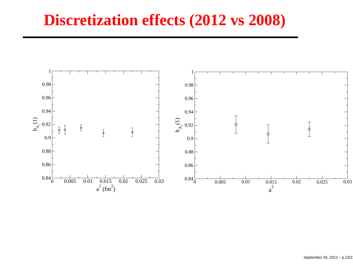#### **Discretization effects (2012 vs 2008)**

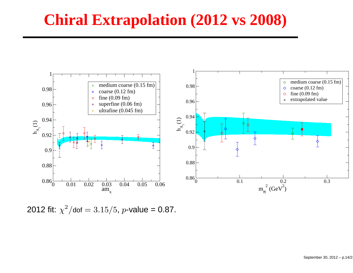#### **Chiral Extrapolation (2012 vs 2008)**



2012 fit:  $\chi^2$  $^{2}/$ dof  $=3.15/5$ , p-value = 0.87.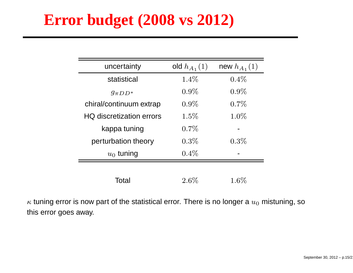#### **Error budget (2008 vs 2012)**

| uncertainty                     | old $h_{A_1}(1)$ | new $h_{A_1}(1)$ |
|---------------------------------|------------------|------------------|
| statistical                     | $1.4\%$          | $0.4\%$          |
| $g_{\pi D D^*}$                 | $0.9\%$          | $0.9\%$          |
| chiral/continuum extrap         | $0.9\%$          | $0.7\%$          |
| <b>HQ</b> discretization errors | $1.5\%$          | $1.0\%$          |
| kappa tuning                    | $0.7\%$          |                  |
| perturbation theory             | $0.3\%$          | $0.3\%$          |
| $u_0$ tuning                    | $0.4\%$          |                  |
|                                 |                  |                  |
| Total                           | $2.6\%$          | $1.6\%$          |

 $\kappa$  tuning error is now part of the statistical error. There is no longer a  $u_0$  mistuning, so this error goes away.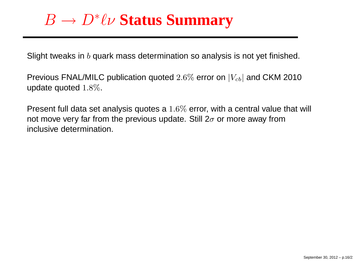#### $\, B \,$  $\overrightarrow{D}$ <sup>D</sup><sup>∗</sup>ℓν **Status Summary**

Slight tweaks in  $b$  quark mass determination so analysis is not yet finished.

Previous FNAL/MILC publication quoted  $2.6\%$  error on  $|V_{cb}|$  and CKM 2010<br>undete gueted 1.9% update quoted  $1.8\%$ .

Present full data set analysis quotes a 1.6% error, with a central value that will<br>not move very for from the provious undate. Still 2 - er more awoy from not move very far from the previous update. Still 2 $\sigma$  or more away from inclusive determination.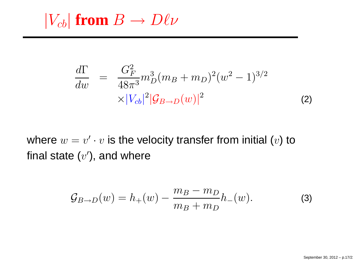$|V_{cb}|$  **from**  $B \to D\ell\nu$ 

$$
\frac{d\Gamma}{dw} = \frac{G_F^2}{48\pi^3} m_D^3 (m_B + m_D)^2 (w^2 - 1)^{3/2} \times |V_{cb}|^2 |\mathcal{G}_{B\to D}(w)|^2
$$
\n(2)

where  $w = v' \cdot v$  is the velocity transfer from initial  $(v)$  to final state  $(v')$ , and where

$$
\mathcal{G}_{B \to D}(w) = h_{+}(w) - \frac{m_{B} - m_{D}}{m_{B} + m_{D}} h_{-}(w).
$$
 (3)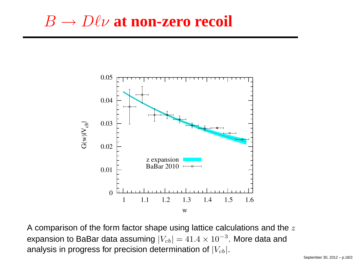#### $\, B \,$  $\overline{B} \rightarrow$  $\rightarrow D\ell\nu$  at **non-zero** recoil



A comparison of the form factor shape using lattice calculations and the  $z$ expansion to BaBar data assuming  $|V_{cb}| = 41.4 \times 10^{-3}$ . More data and analysis in progress for precision determination of  $|V_{cb}|$ .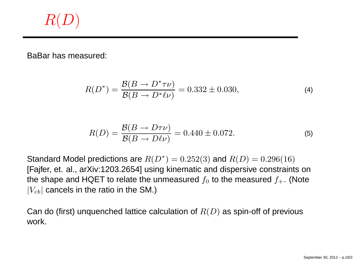## $R(D)$

BaBar has measured:

$$
R(D^*) = \frac{\mathcal{B}(B \to D^* \tau \nu)}{\mathcal{B}(B \to D^* \ell \nu)} = 0.332 \pm 0.030,
$$
 (4)

$$
R(D) = \frac{\mathcal{B}(B \to D\tau\nu)}{\mathcal{B}(B \to D\ell\nu)} = 0.440 \pm 0.072.
$$
 (5)

Standard Model predictions are  $R(D^*)=0.252(3)$  and  $R(D)=0.296(16)$ [Fajfer, et. al., arXiv:1203.2654] using kinematic and dispersive constraints onthe shape and HQET to relate the unmeasured  $f_0$  to the measured  $f_+$ . (Note  $\left|V_{cb}\right|$  cancels in the ratio in the SM.)

Can do (first) unquenched lattice calculation of  $R(D)$  as spin-off of previous work.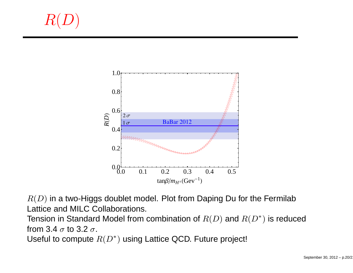$R(D)$ 



 $R(D)$  in a two-Higgs doublet model. Plot from Daping Du for the Fermilab Lattice and MILC Collaborations.

Tension in Standard Model from combination of  $R(D)$  and  $R(D^{\ast})$  is reduced from 3.4  $\sigma$  to 3.2  $\sigma$ .

Useful to compute  $R(D^{\ast})$  using Lattice QCD. Future project!